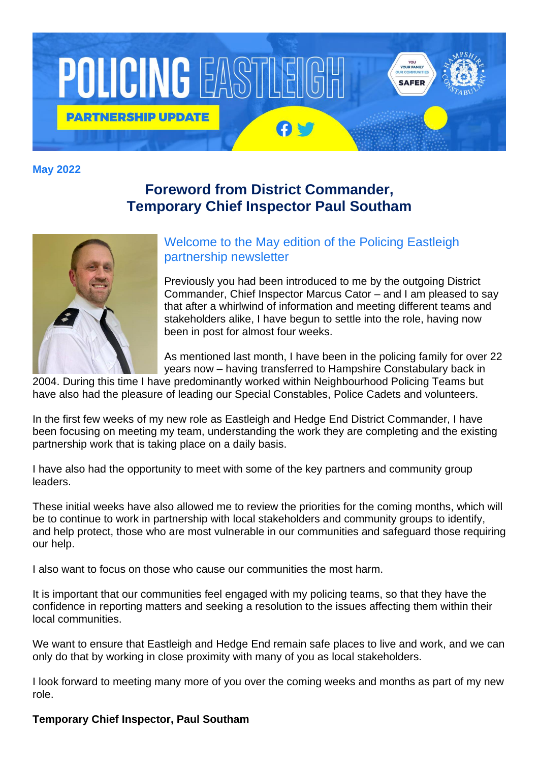

**May 2022**

## **Foreword from District Commander, Temporary Chief Inspector Paul Southam**



Welcome to the May edition of the Policing Eastleigh partnership newsletter

Previously you had been introduced to me by the outgoing District Commander, Chief Inspector Marcus Cator – and I am pleased to say that after a whirlwind of information and meeting different teams and stakeholders alike, I have begun to settle into the role, having now been in post for almost four weeks.

As mentioned last month, I have been in the policing family for over 22 years now – having transferred to Hampshire Constabulary back in

2004. During this time I have predominantly worked within Neighbourhood Policing Teams but have also had the pleasure of leading our Special Constables, Police Cadets and volunteers.

In the first few weeks of my new role as Eastleigh and Hedge End District Commander, I have been focusing on meeting my team, understanding the work they are completing and the existing partnership work that is taking place on a daily basis.

I have also had the opportunity to meet with some of the key partners and community group leaders.

These initial weeks have also allowed me to review the priorities for the coming months, which will be to continue to work in partnership with local stakeholders and community groups to identify, and help protect, those who are most vulnerable in our communities and safeguard those requiring our help.

I also want to focus on those who cause our communities the most harm.

It is important that our communities feel engaged with my policing teams, so that they have the confidence in reporting matters and seeking a resolution to the issues affecting them within their local communities.

We want to ensure that Eastleigh and Hedge End remain safe places to live and work, and we can only do that by working in close proximity with many of you as local stakeholders.

I look forward to meeting many more of you over the coming weeks and months as part of my new role.

#### **Temporary Chief Inspector, Paul Southam**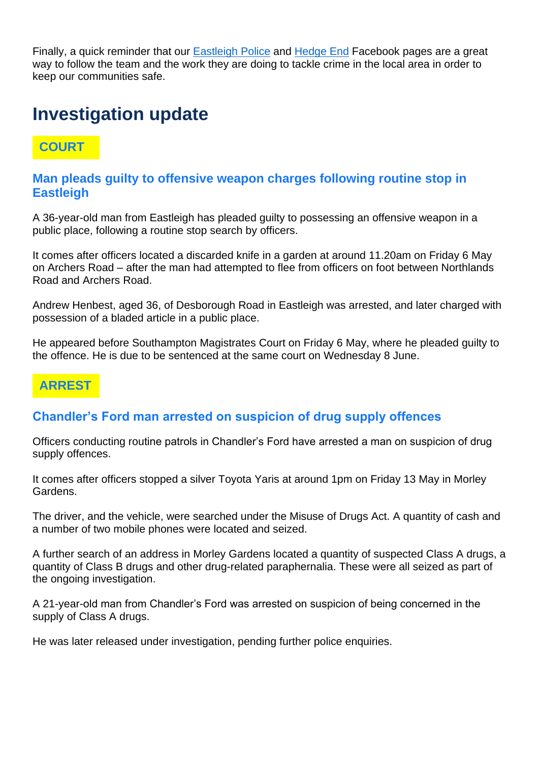Finally, a quick reminder that our [Eastleigh Police](https://gbr01.safelinks.protection.outlook.com/?url=http%3A%2F%2Fwww.facebook.com%2Feastleighpolice&data=04%7C01%7Cwes.hutchins%40hampshire.police.uk%7Cbf6566bad9a949f16af908d9ef935708%7C23de4379957a41a69587165d6c6b4dbd%7C0%7C0%7C637804238356267134%7CUnknown%7CTWFpbGZsb3d8eyJWIjoiMC4wLjAwMDAiLCJQIjoiV2luMzIiLCJBTiI6Ik1haWwiLCJXVCI6Mn0%3D%7C3000&sdata=G1wlWzWHRbZeS227Xk0MszptW40ySawHmlRpzhDbiMI%3D&reserved=0) and [Hedge End](https://gbr01.safelinks.protection.outlook.com/?url=http%3A%2F%2Fwww.facebook.com%2Fhedgeendpolice&data=04%7C01%7Cwes.hutchins%40hampshire.police.uk%7Cbf6566bad9a949f16af908d9ef935708%7C23de4379957a41a69587165d6c6b4dbd%7C0%7C0%7C637804238356267134%7CUnknown%7CTWFpbGZsb3d8eyJWIjoiMC4wLjAwMDAiLCJQIjoiV2luMzIiLCJBTiI6Ik1haWwiLCJXVCI6Mn0%3D%7C3000&sdata=Leo58lQzW8LVs8YMxjRug6jt6cQ6GpWJiFd4V%2B%2FqWYY%3D&reserved=0) Facebook pages are a great way to follow the team and the work they are doing to tackle crime in the local area in order to keep our communities safe.

# **Investigation update**

## **COURT**

#### **Man pleads guilty to offensive weapon charges following routine stop in Eastleigh**

A 36-year-old man from Eastleigh has pleaded guilty to possessing an offensive weapon in a public place, following a routine stop search by officers.

It comes after officers located a discarded knife in a garden at around 11.20am on Friday 6 May on Archers Road – after the man had attempted to flee from officers on foot between Northlands Road and Archers Road.

Andrew Henbest, aged 36, of Desborough Road in Eastleigh was arrested, and later charged with possession of a bladed article in a public place.

He appeared before Southampton Magistrates Court on Friday 6 May, where he pleaded guilty to the offence. He is due to be sentenced at the same court on Wednesday 8 June.

### **ARREST**

#### **Chandler's Ford man arrested on suspicion of drug supply offences**

Officers conducting routine patrols in Chandler's Ford have arrested a man on suspicion of drug supply offences.

It comes after officers stopped a silver Toyota Yaris at around 1pm on Friday 13 May in Morley Gardens.

The driver, and the vehicle, were searched under the Misuse of Drugs Act. A quantity of cash and a number of two mobile phones were located and seized.

A further search of an address in Morley Gardens located a quantity of suspected Class A drugs, a quantity of Class B drugs and other drug-related paraphernalia. These were all seized as part of the ongoing investigation.

A 21-year-old man from Chandler's Ford was arrested on suspicion of being concerned in the supply of Class A drugs.

He was later released under investigation, pending further police enquiries.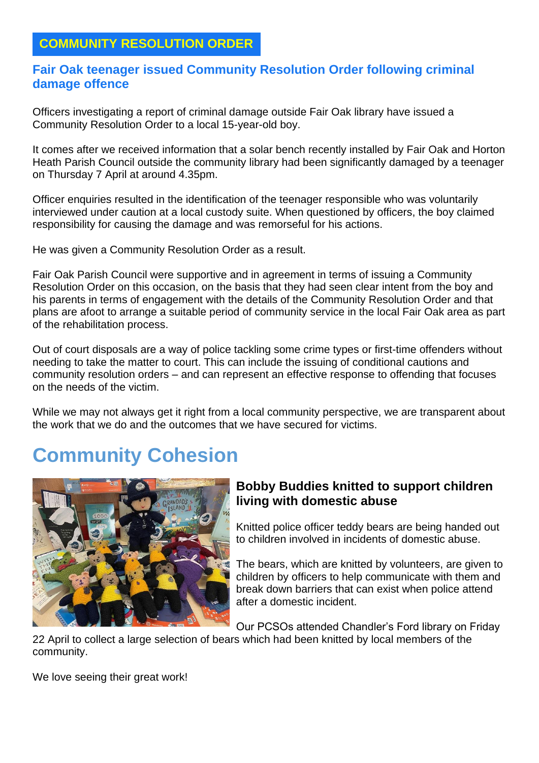### **COMMUNITY RESOLUTION ORDER**

#### **Fair Oak teenager issued Community Resolution Order following criminal damage offence**

Officers investigating a report of criminal damage outside Fair Oak library have issued a Community Resolution Order to a local 15-year-old boy.

It comes after we received information that a solar bench recently installed by Fair Oak and Horton Heath Parish Council outside the community library had been significantly damaged by a teenager on Thursday 7 April at around 4.35pm.

Officer enquiries resulted in the identification of the teenager responsible who was voluntarily interviewed under caution at a local custody suite. When questioned by officers, the boy claimed responsibility for causing the damage and was remorseful for his actions.

He was given a Community Resolution Order as a result.

Fair Oak Parish Council were supportive and in agreement in terms of issuing a Community Resolution Order on this occasion, on the basis that they had seen clear intent from the boy and his parents in terms of engagement with the details of the Community Resolution Order and that plans are afoot to arrange a suitable period of community service in the local Fair Oak area as part of the rehabilitation process.

Out of court disposals are a way of police tackling some crime types or first-time offenders without needing to take the matter to court. This can include the issuing of conditional cautions and community resolution orders – and can represent an effective response to offending that focuses on the needs of the victim.

While we may not always get it right from a local community perspective, we are transparent about the work that we do and the outcomes that we have secured for victims.

# **Community Cohesion**



#### **Bobby Buddies knitted to support children living with domestic abuse**

Knitted police officer teddy bears are being handed out to children involved in incidents of domestic abuse.

The bears, which are knitted by volunteers, are given to children by officers to help communicate with them and break down barriers that can exist when police attend after a domestic incident.

Our PCSOs attended Chandler's Ford library on Friday

22 April to collect a large selection of bears which had been knitted by local members of the community.

We love seeing their great work!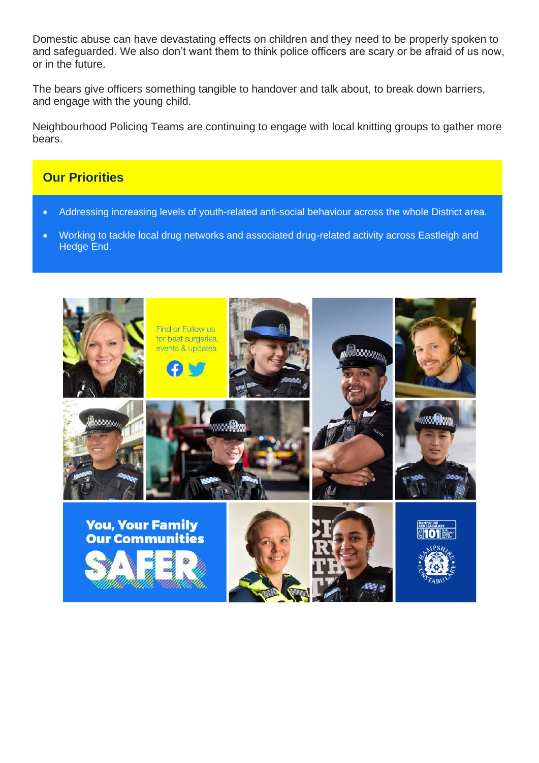Domestic abuse can have devastating effects on children and they need to be properly spoken to and safeguarded. We also don't want them to think police officers are scary or be afraid of us now, or in the future.

The bears give officers something tangible to handover and talk about, to break down barriers, and engage with the young child.

Neighbourhood Policing Teams are continuing to engage with local knitting groups to gather more bears.

#### **Our Priorities**

- Addressing increasing levels of youth-related anti-social behaviour across the whole District area.
- Working to tackle local drug networks and associated drug-related activity across Eastleigh and Hedge End.